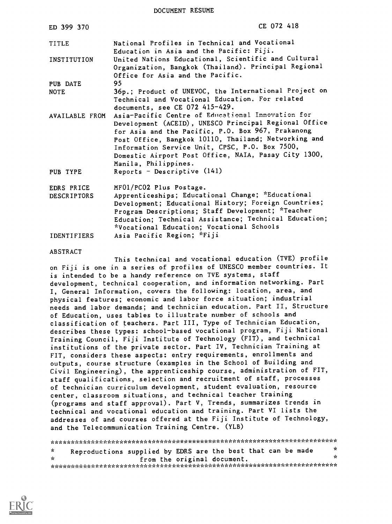DOCUMENT RESUME

| ED 399 370                       | CE 072 418                                                                                                                                                                                                                                                                                                                                                |
|----------------------------------|-----------------------------------------------------------------------------------------------------------------------------------------------------------------------------------------------------------------------------------------------------------------------------------------------------------------------------------------------------------|
| TITLE                            | National Profiles in Technical and Vocational<br>Education in Asia and the Pacific: Fiji.                                                                                                                                                                                                                                                                 |
| INSTITUTION                      | United Nations Educational, Scientific and Cultural<br>Organization, Bangkok (Thailand). Principal Regional<br>Office for Asia and the Pacific.                                                                                                                                                                                                           |
| PUB DATE                         | 95                                                                                                                                                                                                                                                                                                                                                        |
| <b>NOTE</b>                      | 36p.; Product of UNEVOC, the International Project on<br>Technical and Vocational Education. For related<br>documents, see CE 072 415-429.                                                                                                                                                                                                                |
| AVAILABLE FROM                   | Asia-Pacific Centre of Educational Innovation for<br>Development (ACEID), UNESCO Principal Regional Office<br>for Asia and the Pacific, P.O. Box 967, Prakanong<br>Post Office, Bangkok 10110, Thailand; Networking and<br>Information Service Unit, CPSC, P.O. Box 7500,<br>Domestic Airport Post Office, NAIA, Pasay City 1300,<br>Manila, Philippines. |
| PUB TYPE                         | Reports - Descriptive $(141)$                                                                                                                                                                                                                                                                                                                             |
| EDRS PRICE<br><b>DESCRIPTORS</b> | MF01/PC02 Plus Postage.<br>Apprenticeships; Educational Change; *Educational<br>Development; Educational History; Foreign Countries;<br>Program Descriptions; Staff Development; *Teacher<br>Education; Technical Assistance; Technical Education;<br>*Vocational Education; Vocational Schools                                                           |
| <b>IDENTIFIERS</b>               | Asia Pacific Region; "Fiji                                                                                                                                                                                                                                                                                                                                |

#### ABSTRACT

This technical and vocational education (TVE) profile on Fiji is one in a series of profiles of UNESCO member countries. It is intended to be a handy reference on TVE systems, staff development, technical cooperation, and information networking. Part I, General Information, covers the following: location, area, and physical features; economic and labor force situation; industrial needs and labor demands; and technician education. Part II, Structure of Education, uses tables to illustrate number of schools and classification of teachers. Part III, Type of Technician Education, describes these types: school-based vocational program, Fiji National Training Council, Fiji Institute of Technology (FIT), and technical institutions of the private sector. Part IV, Technician Training at FIT, considers these aspects: entry requirements, enrollments and outputs, course structure (examples in the School of Building and Civil Engineering), the apprenticeship course, administration of FIT, staff qualifications, selection and recruitment of staff, processes of technician curriculum development, student evaluation, resource center, classroom situations, and technical teacher training (programs and staff approval). Part V, Trends, summarizes trends in technical and vocational education and training. Part VI lists the addresses of and courses offered at the Fiji Institute of Technology, and the Telecommunication Training Centre. (YLB)

\*\*\*\*\*\*\*\*\*\*\*\*\*\*\*\*\*\*\*\*\*\*\*\*A;,Ai 'c \*\*\*\*. \*\*\*\*\*\*\*\*\*\*\*\*\*\*\*\*\*\*\*\*\*\*\*\*\*\*\*\*\* \* Reproductions supplied by EDRS are the best that can be made \* \* from the original document. \* \*\*\*\*\*\*\*\*\*\*\*\*\*\*\*\*\*\*\*\*\*\*\*\*\*\*\*\*\*\*\*\*\*\*\*\*\*\*\*\*\*\*\*\*\*;.AAAA\*\*\*\*\*\*\*\*\*\*\*\*\*\*\*\*\*\*\*\*\*

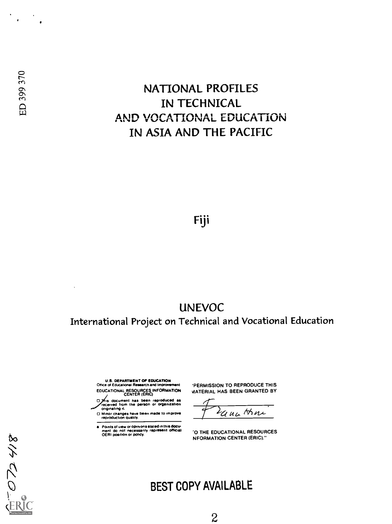# NATIONAL PROFILES IN TECHNICAL AND VOCATIONAL EDUCATION IN ASIA AND THE PACIFIC

Fiji

# UNEVOC

International Project on Technical and Vocational Education

 $\bar{\phantom{a}}$ 

ED 399 370

814 CLO-

U.S. DEPARTMENT OF EDUCATION Office of Educational Research and Improvement EDUCATIONAL RESOURCES INFORMATION

- ../docum ent CENTER (ERIC) <sup>O</sup> os ent has been reproduced as received from the person or organization originating it
- O Minor changes have been made to improve reproduction quality.
- Points of crew or opinions stated in this doCu ment do not necessarily represent official OERI position or policy.

'PERMISSION TO REPRODUCE THIS MATERIAL HAS BEEN GRANTED BY

ana Han

-0 THE EDUCATIONAL RESOURCES NFORMATION CENTER (ERIC)."

# BEST COPY AVAILABLE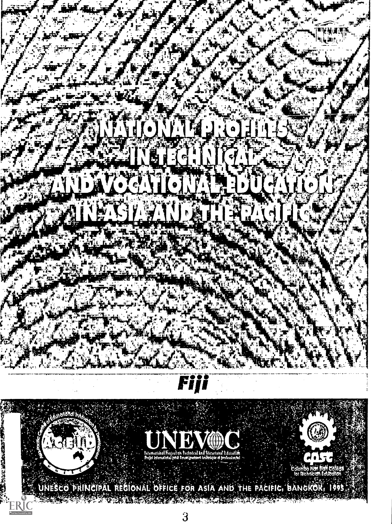# 76-y - V.,  $9$   $1$   $1$   $1$   $1$   $1$   $1$



 $\mathcal{G}_\mathcal{A}$  , we have a set of  $\mathcal{G}_\mathcal{A}$  . It is not the set of  $\mathcal{G}_\mathcal{A}$  . It is not the set of  $\mathcal{G}_\mathcal{A}$ 

 $\mathcal{L}$  , and  $\mathcal{L}$  , and  $\mathcal{L}$  , and  $\mathcal{L}$ 

,,- ,.. . ..., .. . 4; , , . : - .1

,':' ,:stal;456 4 WI Mfitligt  $\mathbb{Z}_2 \not\cong \mathbb{Z}_2 \cup \mathbb{Z}_2 \cup \mathbb{Z}_2 \cup \mathbb{Z}_2 \cup \mathbb{Z}_2 \cup \mathbb{Z}_2$  . Tot technicially following  $\mathbb{Z}_2 \not\cong \mathbb{Z}_2 \otimes \mathbb{Z}_2$ 

..,. et 1,,e7:: - , .-- . . -. ':. ';''i ' -- .-":: ,,I=.0.,. UNESCO PRINCIPAL REGIONAL: OFFICE FOR ASIA AND THE PACIFIC, BANGKOK, 1995. A.::

 $\overline{3}$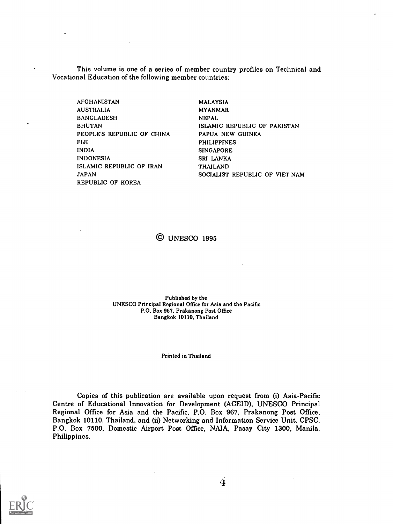This volume is one of a series of member country profiles on Technical and Vocational Education of the following member countries:

AFGHANISTAN AUSTRALIA BANGLADESH BHUTAN PEOPLES REPUBLIC OF CHINA FIJI INDIA INDONESIA ISLAMIC REPUBLIC OF IRAN JAPAN REPUBLIC OF KOREA

MALAYSIA MYANMAR NEPAL ISLAMIC REPUBLIC OF PAKISTAN PAPUA NEW GUINEA PHILIPPINES SINGAPORE SRI LANKA THAILAND SOCIALIST REPUBLIC OF WET NAM

© UNESCO 1995

Published by the UNESCO Principal Regional Office for Asia and the Pacific P.O. Box 967, Prakanong Post Office Bangkok 10110, Thailand

Printed in Thailand

Copies of this publication are available upon request from (i) Asia-Pacific Centre of Educational Innovation for Development (ACEID), UNESCO Principal Regional Office for Asia and the Pacific, P.O. Box 967, Prakanong Post Office, Bangkok 10110, Thailand, and (ii) Networking and Information Service Unit, CPSC, P.O. Box 7500, Domestic Airport Post Office, NAIA, Pasay City 1300, Manila, Philippines.

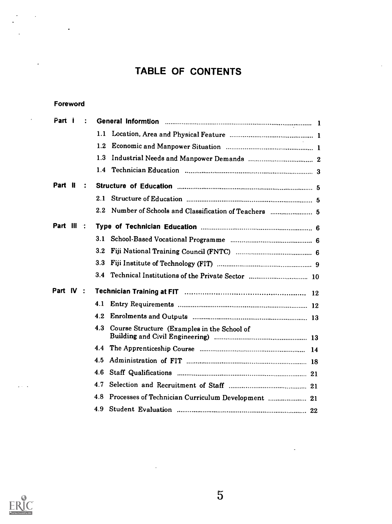# TABLE OF CONTENTS

#### Foreword

 $\ddot{\phantom{a}}$ 

 $\cdot$ 

| Part I     | $\ddot{\cdot}$ |                  |                                                    |
|------------|----------------|------------------|----------------------------------------------------|
|            |                | 1.1              |                                                    |
|            |                | 1.2              |                                                    |
|            |                | 1.3              |                                                    |
|            |                | 1.4              |                                                    |
| Part II    | ÷              |                  |                                                    |
|            |                |                  |                                                    |
|            |                | $2.2\phantom{0}$ |                                                    |
| Part III : |                |                  |                                                    |
|            |                | 3.1              |                                                    |
|            |                | 3.2              |                                                    |
|            |                | 3.3              |                                                    |
|            |                | 3.4              |                                                    |
| Part IV:   |                |                  |                                                    |
|            |                | 4.1              |                                                    |
|            |                | 4.2.             |                                                    |
|            |                | 4.3              | Course Structure (Examples in the School of        |
|            |                | 4.4              |                                                    |
|            |                | 4.5              |                                                    |
|            |                | 4.6              |                                                    |
|            |                | 4.7              |                                                    |
|            |                | 4.8              | Processes of Technician Curriculum Development  21 |
|            |                | 4.9              |                                                    |



 $\mathcal{L} \times \mathcal{L}$ 

 $\ddot{\phantom{a}}$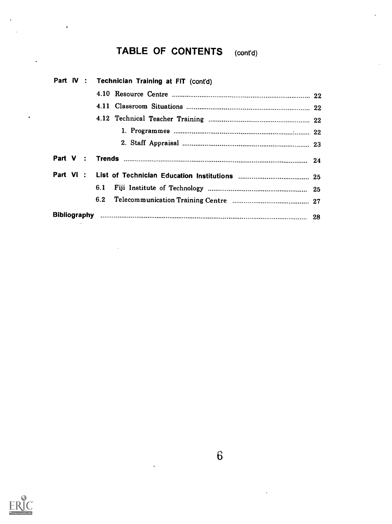# TABLE OF CONTENTS (cont'd)

|  | Part IV : Technician Training at FIT (cont'd) |  |  |  |  |
|--|-----------------------------------------------|--|--|--|--|
|  |                                               |  |  |  |  |
|  |                                               |  |  |  |  |
|  |                                               |  |  |  |  |
|  |                                               |  |  |  |  |
|  |                                               |  |  |  |  |
|  |                                               |  |  |  |  |
|  |                                               |  |  |  |  |
|  | 6.1                                           |  |  |  |  |
|  | 6.2                                           |  |  |  |  |
|  |                                               |  |  |  |  |



 $\ddot{\phantom{0}}$ 

 $\ddot{\phantom{0}}$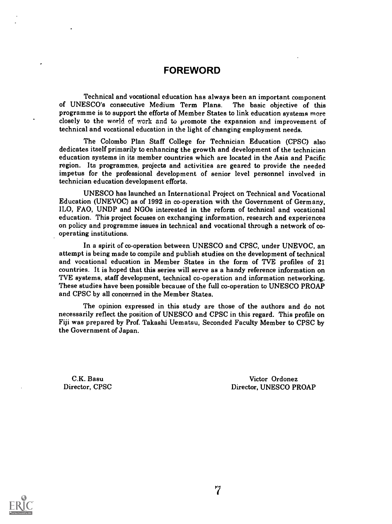#### FOREWORD

Technical and vocational education has always been an important component of UNESCO's consecutive Medium Term Plans. The basic objective of this programme is to support the efforts of Member States to link education systems more closely to the world of work and to promote the expansion and improvement of technical and vocational education in the light of changing employment needs.

The Colombo Plan Staff College for Technician Education (CPSC) also dedicates itself primarily to enhancing the growth and development of the technician education systems in its member countries which are located in the Asia and Pacific region. Its programmes, projects and activities are geared to provide the needed impetus for the professional development of senior level personnel involved in technician education development efforts.

UNESCO has launched an International Project on Technical and Vocational Education (UNEVOC) as of 1992 in co-operation with the Government of Germany, ILO, FAO, UNDP and NGOs interested in the reform of technical and vocational education. This project focuses on exchanging information, research and experiences on policy and programme issues in technical and vocational through a network of cooperating institutions.

In a spirit of co-operation between UNESCO and CPSC, under UNEVOC, an attempt is being made to compile and publish studies on the development of technical and vocational education in Member States in the form of TVE profiles of 21 countries. It is hoped that this series will serve as a handy reference information on TVE systems, staff development, technical co-operation and information networking. These studies have been possible because of the full co-operation to UNESCO PROAP and CPSC by all concerned in the Member States.

The opinion expressed in this study are those of the authors and do not necessarily reflect the position of UNESCO and CPSC in this regard. This profile on Fiji was prepared by Prof. Takashi Uematsu, Seconded Faculty Member to CPSC by the Government of Japan.

C.K. Basu Director, CPSC

Victor Ordonez Director, UNESCO PROAP

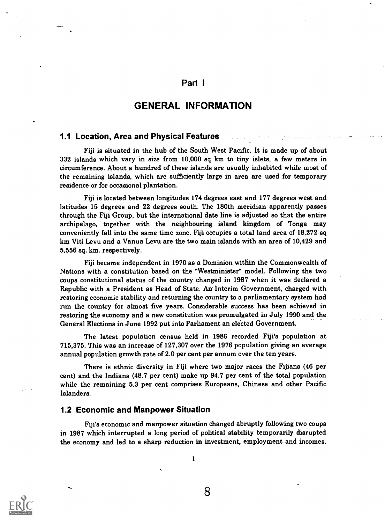#### Part <sup>I</sup>

#### GENERAL INFORMATION

#### 1.1 Location, Area and Physical Features

Fiji is situated in the hub of the South West Pacific. It is made up of about 332 islands which vary in size from 10,000 sq km to tiny islets, a few meters in circumference. About a hundred of these islands are usually inhabited while most of the remaining islands, which are sufficiently large in area are used for temporary residence or for occasional plantation.

Fiji is located between longitudes 174 degrees east and 177 degrees west and latitudes 15 degrees and 22 degrees south. The 180th meridian apparently passes through the Fiji Group, but the international date line is adjusted so that the entire archipelago, together with the neighbouring island kingdom of Tonga may conveniently fall into the same time zone. Fiji occupies a total land area of 18,272 sq km Viti Levu and a Vanua Levu are the two main islands with an area of 10,429 and 5,556 sq. km. respectively.

Fiji became independent in 1970 as a Dominion within the Commonwealth of Nations with a constitution based on the "Westminister" model. Following the two coups constitutional status of the country changed in 1987 when it was declared a Republic with a President as Head of State. An Interim Government, charged with restoring economic stability and returning the country to a parliamentary system had run the country for almost five years. Considerable success has been achieved in restoring the economy and a new constitution was promulgated in July 1990 and the General Elections in June 1992 put into Parliament an elected Government.

The latest population census held in 1986 recorded Fiji's population at 715,375. This was an increase of 127,307 over the 1976 population giving an average annual population growth rate of 2.0 per cent per annum over the ten years.

There is ethnic diversity in Fiji where two major races the Fijians (46 per cent) and the Indians (48.7 per cent) make up 94.7 per cent of the total population while the remaining 5.3 per cent comprises Europeans, Chinese and other Pacific Islanders.

#### 1.2 Economic and Manpower Situation

Fiji's economic and manpower situation changed abruptly following two coups in 1987 which interrupted a long period of political stability temporarily disrupted the economy and led to a sharp reduction in investment, employment and incomes.



1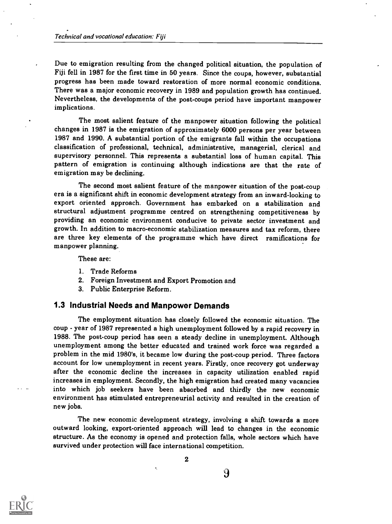Due to emigration resulting from the changed political situation, the population of Fiji fell in 1987 for the first time in 50 years. Since the coups, however, substantial progress has been made toward restoration of more normal economic conditions. There was a major economic recovery in 1989 and population growth has continued. Nevertheless, the developments of the post-coups period have important manpower implications.

The most salient feature of the manpower situation following the political changes in 1987 is the emigration of approximately 6000 persons per year between 1987 and 1990. A substantial portion of the emigrants fall within the occupations classification of professional, technical, administrative, managerial, clerical and supervisory personnel. This represents a substantial loss of human capital. This pattern of emigration is continuing although indications are that the rate of emigration may be declining.

The second most salient feature of the manpower situation of the post-coup era is a significant shift in economic development strategy from an inward-looking to export oriented approach. Government has embarked on a stabilization and structural adjustment programme centred on strengthening competitiveness by providing an economic environment conducive to private sector investment and growth. In addition to macro-economic stabilization measures and tax reform, there are three key elements of the programme which have direct ramifications for manpower planning.

These are:

- 1. Trade Reforms
- 2. Foreign Investment and Export Promotion and
- 3. Public Enterprise Reform.

#### 1.3 Industrial Needs and Manpower Demands

The employment situation has closely followed the economic situation. The coup - year of 1987 represented a high unemployment followed by a rapid recovery in 1988. The post-coup period has seen a steady decline in unemployment. Although unemployment among the better educated and trained work force was regarded a problem in the mid 1980's, it became low during the post-coup period. Three factors account for low unemployment in recent years. Firstly, once recovery got underway after the economic decline the increases in capacity utilization enabled rapid increases in employment. Secondly, the high emigration had created many vacancies into which job seekers have been absorbed and thirdly the new economic environment has stimulated entrepreneurial activity and resulted in the creation of new jobs.

The new economic development strategy, involving a shift towards a more outward looking, export-oriented approach will lead to changes in the economic structure. As the economy is opened and protection falls, whole sectors which have survived under protection will face international competition.

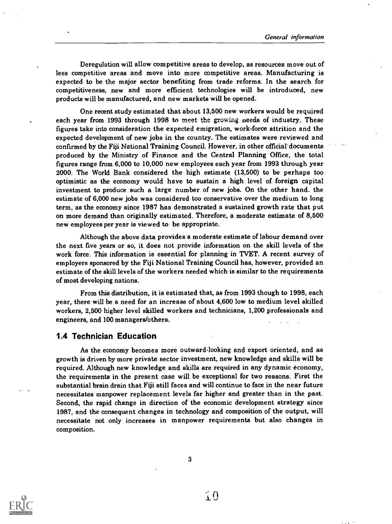Deregulation will allow competitive areas to develop, as resources move out of less competitive areas and move into more competitive areas. Manufacturing is expected to be the major sector benefiting from trade reforms. In the search for competitiveness, new and more efficient technologies will be introduced, new products will be manufactured, and new markets will be opened.

One recent study estimated that about 13,500 new workers would be required each year from 1993 through 1998 to meet the growing needs of industry. These figures take into consideration the expected emigration, work-force attrition and the expected development of new jobs in the country. The estimates were reviewed and confirmed by the Fiji National Training Council. However, in other official documents produced by the Ministry of Finance and the Central Planning Office, the total figures range from 6,000 to 10,000 new employees each year from 1993 through year 2000. The World Bank considered the high estimate (13,500) to be perhaps too optimistic as the economy would have to sustain a high level of foreign capital investment to produce such a large number of new jobs. On the other hand. the estimate of 6,000 new jobs was considered too conservative over the medium to long term, as the economy since 1987 has demonstrated a sustained growth rate that put on more demand than originally estimated. Therefore, a moderate estimate of 8,500 new employees per year is viewed to be appropriate.

Although the above data provides a moderate estimate of labour demand over the next five years or so, it does not provide information on the skill levels of the work force. This information is essential for planning in TVET. A recent survey of employers sponsored by the Fiji National Training Council has, however, provided an estimate of the skill levels of the workers needed which is similar to the requirements of most developing nations.

From this distribution, it is estimated that, as from 1993 though to 1998, each year, there will be a need for an increase of about 4,600 low to medium level skilled workers, 2,500 higher level skilled workers and technicians, 1,200 professionals and engineers, and 100 managers/others.

#### 1.4 Technician Education

As the economy becomes more outward-looking and export oriented, and as growth is driven by more private sector investment, new knowledge and skills will be required. Although new knowledge and skills are required in any dynamic economy, the requirements in the present case will be exceptional for two reasons. First the substantial brain drain that Fiji still faces and will continue to face in the near future necessitates manpower replacement levels far higher and greater than in the past. Second, the rapid change in direction of the economic development strategy since 1987, and the consequent changes in technology and composition of the output, will necessitate not only increases in manpower requirements but also changes in composition.

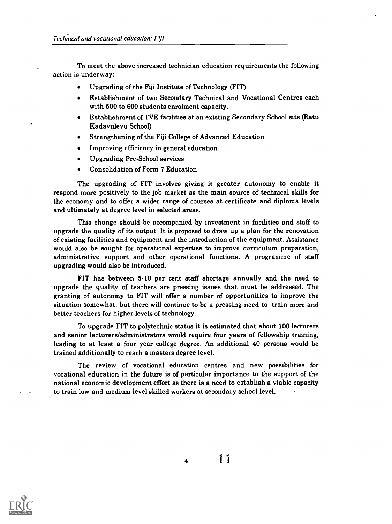To meet the above increased technician education requirements the following action is underway:

- Upgrading of the Fiji Institute of Technology (FIT)
- Establishment of two Secondary Technical and Vocational Centres each with 500 to 600 students enrolment capacity.
- Establishment of TVE facilities at an existing Secondary School site (Ratu  $\bullet$ Kadavulevu School)
- Strengthening of the Fiji College of Advanced Education
- Improving efficiency in general education
- Upgrading Pre-School services  $\bullet$
- Consolidation of Form 7 Education

The upgrading of FIT involves giving it greater autonomy to enable it respond more positively to the job market as the main source of technical skills for the economy and to offer a wider range of courses at certificate and diploma levels and ultimately at degree level in selected areas.

This change should be accompanied by investment in facilities and staff to upgrade the quality of its output. It is proposed to draw up a plan for the renovation of existing facilities and equipment and the introduction of the equipment. Assistance would also be sought for operational expertise to improve curriculum preparation, administrative support and other operational functions. A programme of staff upgrading would also be introduced.

FIT has between 5.10 per cent staff shortage annually and the need to upgrade the quality of teachers are pressing issues that must be addressed. The granting of autonomy to FIT will offer a number of opportunities to improve the situation somewhat, but there will continue to be a pressing need to train more and better teachers for higher levels of technology.

To upgrade FIT to polytechnic status it is estimated that about 100 lecturers and senior lecturers/administrators would require four years of fellowship training, leading to at least a four year college degree. An additional 40 persons would be trained additionally to reach a masters degree level.

The review of vocational education centres and new possibilities for vocational education in the future is of particular importance to the support of the national economic development effort as there is a need to establish a viable capacity to train low and medium level skilled workers at secondary school level.



<sup>4</sup> '1.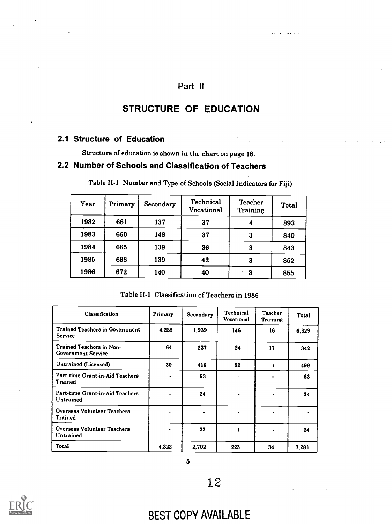# Part II

# STRUCTURE OF EDUCATION

# 2.1 Structure of Education

Structure of education is shown in the chart on page 18.

# 2.2 Number of Schools and Classification of Teachers

| Year | Primary | Secondary | Technical<br>Vocational | <b>Teacher</b><br><b>Training</b> | <b>Total</b> |
|------|---------|-----------|-------------------------|-----------------------------------|--------------|
| 1982 | 661     | 137       | 37                      | 4                                 | 893          |
| 1983 | 660     | 148       | 37                      | 3                                 | 840          |
| 1984 | 665     | 139       | 36                      | 3                                 | 843          |
| 1985 | 668     | 139       | 42                      | 3                                 | 852          |
| 1986 | 672     | 140       | 40                      | 3                                 | 855          |

Table II-1 Number and Type of Schools (Social Indicators for Fiji)

Table II-1 Classification of Teachers in 1986

| Classification                                          | Primary | Secondary | Technical<br><b>Vocational</b> | <b>Teacher</b><br>Training | Total |
|---------------------------------------------------------|---------|-----------|--------------------------------|----------------------------|-------|
| <b>Trained Teachers in Government</b><br><b>Service</b> | 4.228   | 1,939     | 146                            | 16                         | 6,329 |
| Trained Teachers in Non-<br><b>Government Service</b>   | 64      | 237       | 24                             | 17                         | 342   |
| Untrained (Licensed)                                    | 30      | 416       | 52                             | 1                          | 499   |
| Part-time Grant-in-Aid Teachers<br>Trained              |         | 63        |                                |                            | 63    |
| Part-time Grant-in-Aid Teachers<br>Untrained            |         | 24        |                                | ٠                          | 24    |
| Overseas Volunteer Teachers<br>Trained                  |         |           |                                |                            |       |
| Overseas Volunteer Teachers<br>Untrained                |         | 23        |                                | $\bullet$                  | 24    |
| Total                                                   | 4,322   | 2.702     | 223                            | 34                         | 7.281 |

5



# BEST COPY AVAILABLE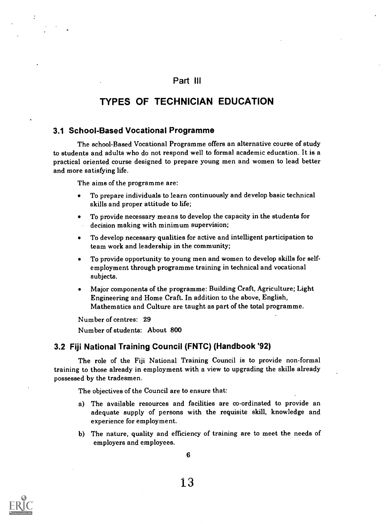### Part III

# TYPES OF TECHNICIAN EDUCATION

#### 3.1 School-Based Vocational Programme

The school-Based Vocational Programme offers an alternative course of study to students and adults who do not respond well to formal academic education. It is a practical oriented course designed to prepare young men and women to lead better and more satisfying life.

The aims of the programme are:

- To prepare individuals to learn continuously and develop basic technical skills and proper attitude to life;
- To provide necessary means to develop the capacity in the students for decision making with minimum supervision;
- To develop necessary qualities for active and intelligent participation to team work and leadership in the community;
- To provide opportunity to young men and women to develop skills for selfemployment through programme training in technical and vocational subjects.
- Major components of the programme: Building Craft, Agriculture; Light Engineering and Home Craft. In addition to the above, English, Mathematics and Culture are taught as part of the total programme.

Number of centres: 29 Number of students: About 800

#### 3.2 Fiji National Training Council (FNTC) (Handbook '92)

The role of the Fiji National Training Council is to provide non-formal training to those already in employment with a view to upgrading the skills already possessed by the tradesmen.

The objectives of the Council are to ensure that:

- a) The available resources and facilities are co-ordinated to provide an adequate supply of persons with the requisite skill, knowledge and experience for employment.
- b) The nature, quality and efficiency of training are to meet the needs of employers and employees.

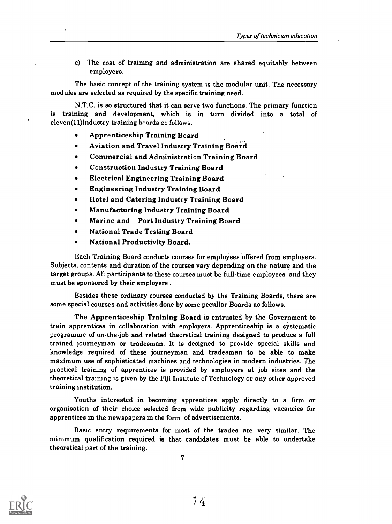c) The cost of training and administration are shared equitably between employers.

The basic concept of the training system is the modular unit. The necessary modules are selected as required by the specific training need.

N.T.C. is so structured that it can serve two functions. The primary function is training and development, which is in turn divided into a total of eleven(11)industry training boards as follows:

- Apprenticeship Training Board
- $\bullet$ Aviation and Travel Industry Training Board
- Commercial and Administration Training Board
- Construction Industry Training Board
- Electrical Engineering Training Board
- Engineering Industry Training Board
- Hotel and Catering Industry Training Board
- Manufacturing Industry Training Board
- Marine and Port Industry Training Board
- National Trade Testing Board
- National Productivity Board.

Each Training Board conducts courses for employees offered from employers. Subjects, contents and duration of the courses vary depending on the nature and the target groups. All participants to these courses must be full-time employees, and they must be sponsored by their employers .

Besides these ordinary courses conducted by the Training Boards, there are some special courses and activities done by some peculiar Boards as follows.

The Apprenticeship Training Board is entrusted by the Government to train apprentices in collaboration with employers. Apprenticeship is a systematic programme of on-the-job and related theoretical training designed to produce a full trained journeyman or tradesman. It is designed to provide special skills and knowledge required of these journeyman and tradesman to be able to make maximum use of sophisticated machines and technologies in modern industries. The practical training of apprentices is provided by employers at job sites and the theoretical training is given by the Fiji Institute of Technology or any other approved training institution.

Youths interested in becoming apprentices apply directly to a firm or organisation of their choice selected from wide publicity regarding vacancies for apprentices in the newspapers in the form of advertisements.

Basic entry requirements for most of the trades are very similar. The minimum qualification required is that candidates must be able to undertake theoretical part of the training.

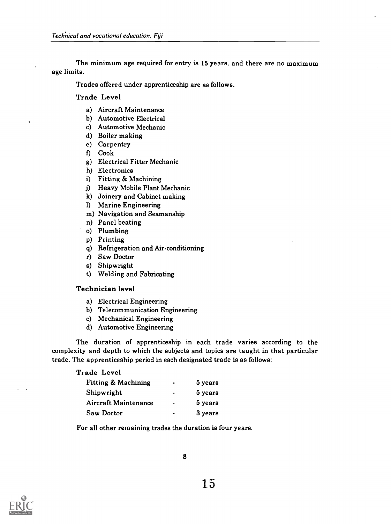The minimum age required for entry is 15 years, and there are no maximum age limits.

Trades offered under apprenticeship are as follows.

#### Trade Level

- a) Aircraft Maintenance
- b) Automotive Electrical
- c) Automotive Mechanic
- d) Boiler making
- e) Carpentry
- f) Cook
- g) Electrical Fitter Mechanic
- h) Electronics
- i) Fitting & Machining
- j) Heavy Mobile Plant Mechanic
- k) Joinery and Cabinet making
- 1) Marine Engineering
- m) Navigation and Seamanship
- n) Panel beating
- o) Plumbing
- p) Printing
- q) Refrigeration and Air-conditioning
- r) Saw Doctor
- s) Shipwright
- t) Welding and Fabricating

#### Technician level

- a) Electrical Engineering
- b) Telecommunication Engineering
- c) Mechanical Engineering
- d) Automotive Engineering

The duration of apprenticeship in each trade varies according to the complexity and depth to which the subjects and topics are taught in that particular trade. The apprenticeship period in each designated trade is as follows:

#### Trade Level

| <b>Fitting &amp; Machining</b> | $\bullet$ | 5 years |  |
|--------------------------------|-----------|---------|--|
| Shipwright                     | $\bullet$ | 5 years |  |
| Aircraft Maintenance           | $\bullet$ | 5 years |  |
| Saw Doctor                     | $\bullet$ | 3 years |  |

For all other remaining trades the duration is four years.

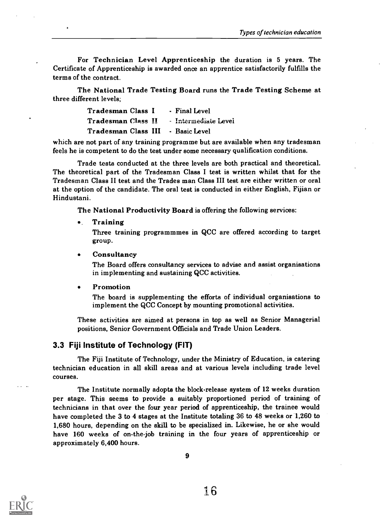For Technician Level Apprenticeship the duration is 5 years. The Certificate of Apprenticeship is awarded once an apprentice satisfactorily fulfills the terms of the contract.

The National Trade Testing Board runs the Trade Testing Scheme at three different levels;

| Tradesman Class I                       | - Final Level |
|-----------------------------------------|---------------|
| Tradesman Class II - Intermediate Level |               |
| Tradesman Class III - Basic Level       |               |

which are not part of any training programme but are available when any tradesman feels he is competent to do the test under some necessary qualification conditions.

Trade tests conducted at the three levels are both practical and theoretical. The theoretical part of the Tradesman Class I test is written whilst that for the Tradesman Class H test and the Trades man Class III test are either written or oral at the option of the candidate. The oral test is conducted in either English, Fijian or Hindustani.

The National Productivity Board is offering the following services:

. Training

Three training programmmes in QCC are offered according to target group.

#### **Consultancy**  $\bullet$

The Board offers consultancy services to advise and assist organisations in implementing and sustaining QCC activities.

#### Promotion

The board is supplementing the efforts of individual organisations to implement the QCC Concept by mounting promotional activities.

These activities are aimed at persons in top as well as Senior Managerial positions, Senior Government Officials and Trade Union Leaders.

#### 3.3 Fiji Institute of Technology (FIT)

The Fiji Institute of Technology, under the Ministry of Education, is catering technician education in all skill areas and at various levels including trade level courses.

The Institute normally adopts the block-release system of 12 weeks duration per stage. This seems to provide a suitably proportioned period of training of technicians in that over the four year period of apprenticeship, the trainee would have completed the 3 to 4 stages at the Institute totaling 36 to 48 weeks or 1,260 to 1,680 hours, depending on the skill to be specialized in. Likewise, he or she would have 160 weeks of on-the-job training in the four years of apprenticeship or approximately 6,400 hours.

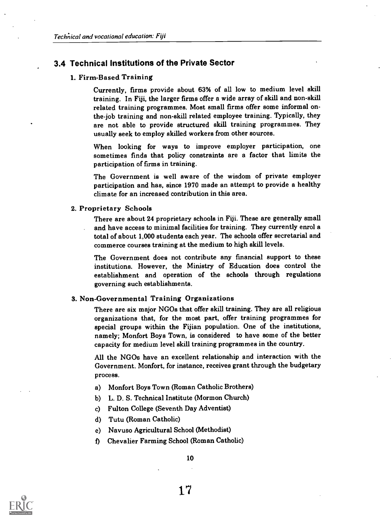#### 3.4 Technical Institutions of the Private Sector

#### 1. Firm-Based Training

Currently, firms provide about 63% of all low to medium level skill training. In Fiji, the larger firms offer a wide array of skill and non-skill related training programmes. Most small firms offer some informal onthe-job training and non-skill related employee training. Typically, they are not able to provide structured skill training programmes. They usually seek to employ skilled workers from other sources.

When looking for ways to improve employer participation, one sometimes finds that policy constraints are a factor that limits the participation of firms in training.

The Government is well aware of the wisdom of private employer participation and has, since 1970 made an attempt to provide a healthy climate for an increased contribution in this area.

#### 2. Proprietary Schools

There are about 24 proprietary schools in Fiji. These are generally small and have access to minimal facilities for training. They currently enrol a total of about 1,000 students each year. The schools offer secretarial and commerce courses training at the medium to high skill levels.

The Government does not contribute any financial support to these institutions. However, the Ministry of Education does control the establishment and operation of the schools through regulations governing such establishments.

#### 3. Non-Governmental Training Organizations

There are six major NGOs that offer skill training. They are all religious organizations that, for the most part, offer training programmes for special groups within the Fijian population. One of the institutions, namely; Monfort Boys Town, is considered to have some of the better capacity for medium level skill training programmes in the country.

All the NGOs have an excellent relationship and interaction with the Government. Monfort, for instance, receives grant through the budgetary process.

- a) Monfort Boys Town (Roman Catholic Brothers)
- b) L. D. S. Technical Institute (Mormon Church)
- c) Fulton College (Seventh Day Adventist)
- d) Tutu (Roman Catholic)
- e) Navuso Agricultural School (Methodist)
- f) Chevalier Farming School (Roman Catholic)

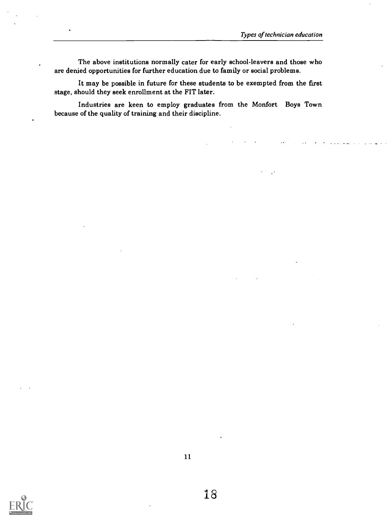The above institutions normally cater for early school-leavers and those who are denied opportunities for further education due to family or social problems.

It may be possible in future for these students to be exempted from the first stage, should they seek enrollment at the FIT later.

Industries are keen to employ graduates from the Monfort Boys Town because of the quality of training and their discipline.

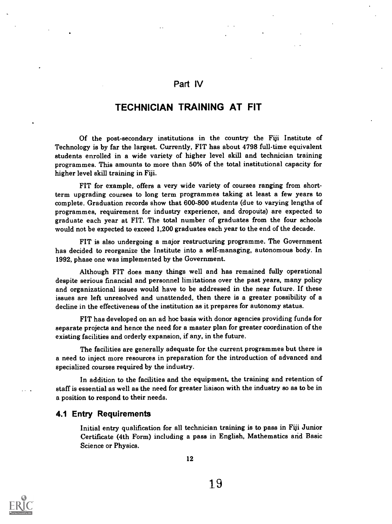## Part IV

## TECHNICIAN TRAINING AT FIT

Of the post-secondary institutions in the country the Fiji Institute of Technology is by far the largest. Currently, FIT has about 4798 full-time equivalent students enrolled in a wide variety of higher level skill and technician training programmes. This amounts to more than 50% of the total institutional capacity for higher level skill training in Fiji.

FIT for example, offers a very wide variety of courses ranging from shortterm upgrading courses to long term programmes taking at least a few years to complete. Graduation records show that 600-800 students (due to varying lengths of programmes, requirement for industry experience, and dropouts) are expected to graduate each year at FIT. The total number of graduates from the four schools would not be expected to exceed 1,200 graduates each year to the end of the decade.

FIT is also undergoing a major restructuring programme. The Government has decided to reorganize the Institute into a self-managing, autonomous body. In 1992, phase one was implemented by the Government.

Although FIT does many things well and has remained fully operational despite serious financial and personnel limitations over the past years, many policy and organizational issues would have to be addressed in the near future. If these issues are left unresolved and unattended, then there is a greater possibility of a decline in the effectiveness of the institution as it prepares for autonomy status.

FIT has developed on an ad hoc basis with donor agencies providing funds for separate projects and hence the need for a master plan for greater coordination of the existing facilities and orderly expansion, if any, in the future.

The facilities are generally adequate for the current programmes but there is a need to inject more resources in preparation for the introduction of advanced and specialized courses required by the industry.

In addition to the facilities and the equipment, the training and retention of staff is essential as well as the need for greater liaison with the industry so as to be in a position to respond to their needs.

#### 4.1 Entry Requirements

Initial entry qualification for all technician training is to pass in Fiji Junior Certificate (4th Form) including a pass in English, Mathematics and Basic Science or Physics.

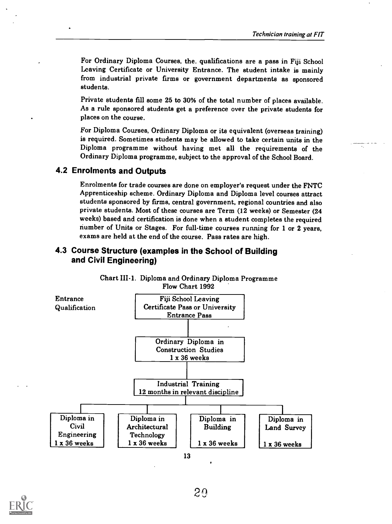For Ordinary Diploma Courses, the. qualifications are a pass in Fiji School Leaving Certificate or University Entrance. The student intake is mainly from industrial private firms or government departments as sponsored students.

Private students fill some 25 to 30% of the total number of places available. As a rule sponsored students get a preference over the private students for places on the course.

For Diploma Courses, Ordinary Diploma or its equivalent (overseas training) is required. Sometimes students may be allowed to take certain units in the Diploma programme without having met all the requirements of the Ordinary Diploma programme, subject to the approval of the School Board.

#### 4.2 Enrolments and Outputs

Enrolments for trade courses are done on employer's request under the FNTC Apprenticeship scheme. Ordinary Diploma and Diploma level courses attract students sponsored by firms, central government, regional countries and also private students. Most of these courses are Term (12 weeks) or Semester (24 weeks) based and certification is done when a student completes the required number of Units or Stages. For full-time courses running for 1 or 2 years, exams are held at the end of the course. Pass rates are high.

## 4.3 Course Structure (examples in the School of Building and Civil Engineering)



Chart III-1. Diploma and Ordinary Diploma Programme Flow Chart 1992

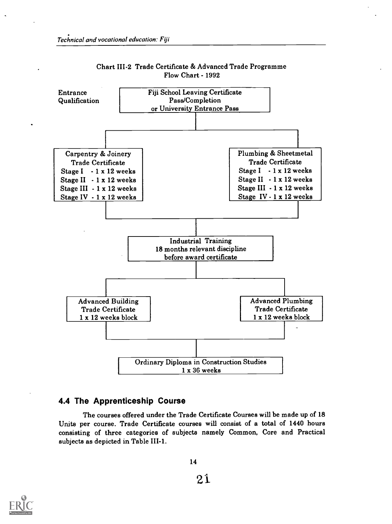

#### Chart 111-2 Trade Certificate & Advanced Trade Programme Flow Chart - 1992

#### 4.4 The Apprenticeship Course

The courses offered under the Trade Certificate Courses will be made up of 18 Units per course. Trade Certificate courses will consist of a total of 1440 hours consisting of three categories of subjects namely Common, Core and Practical subjects as depicted in Table III-1.



21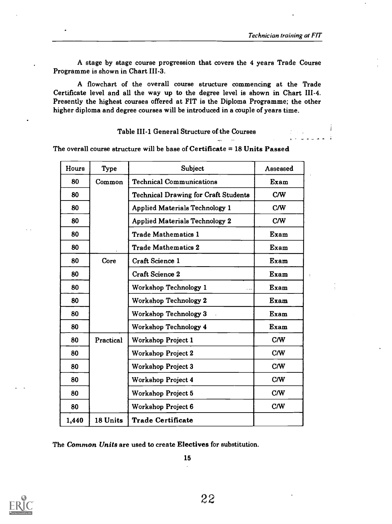A stage by stage course progression that covers the 4 years Trade Course Programme is shown in Chart 111-3.

A flowchart of the overall course structure commencing at the Trade Certificate level and all the way up to the degree level is shown in Chart 111-4. Presently the highest courses offered at FIT is the Diploma Programme; the other higher diploma and degree courses will be introduced in a couple of years time.

#### Table III-1 General Structure of the Courses

The overall course structure will be base of Certificate  $= 18$  Units Passed

| Hours | <b>Type</b> | Subject                                     | Assessed |
|-------|-------------|---------------------------------------------|----------|
| 80    | Common      | <b>Technical Communications</b>             | Exam     |
| 80    |             | <b>Technical Drawing for Craft Students</b> | C/W      |
| 80    |             | <b>Applied Materials Technology 1</b>       | C/W      |
| 80    |             | <b>Applied Materials Technology 2</b>       | C/W      |
| 80    |             | <b>Trade Mathematics 1</b>                  | Exam     |
| 80    |             | <b>Trade Mathematics 2</b>                  | Exam     |
| 80    | Core        | <b>Craft Science 1</b>                      | Exam     |
| 80    |             | <b>Craft Science 2</b>                      | Exam     |
| 80    |             | Workshop Technology 1                       | Exam     |
| 80    |             | Workshop Technology 2                       | Exam     |
| 80    |             | Workshop Technology 3                       | Exam     |
| 80    |             | Workshop Technology 4                       | Exam     |
| 80    | Practical   | Workshop Project 1                          | C/W      |
| 80    |             | Workshop Project 2                          | C/W      |
| 80    |             | <b>Workshop Project 3</b>                   | C/W      |
| 80    |             | Workshop Project 4                          | C/W      |
| 80    |             | Workshop Project 5                          | C/W      |
| 80    |             | Workshop Project 6                          | C/W      |
| 1,440 | 18 Units    | <b>Trade Certificate</b>                    |          |

The Common Units are used to create Electives for substitution.

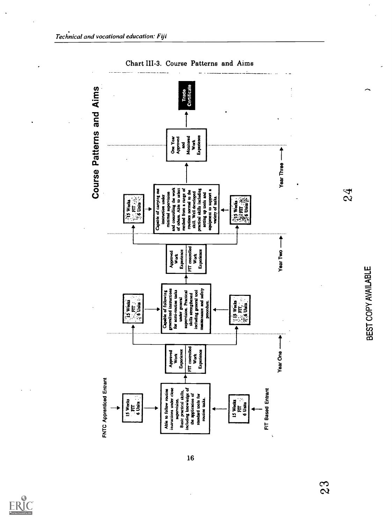

Chart III-3. Course Patterns and Aims

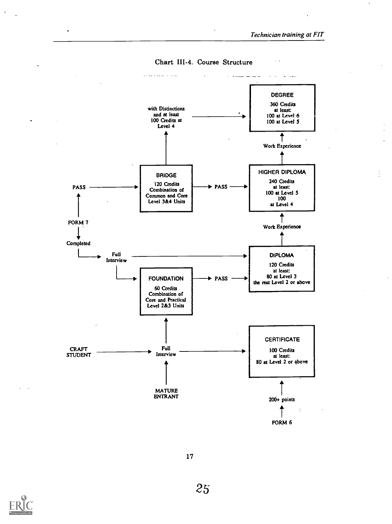

Chart III-4. Course Structure

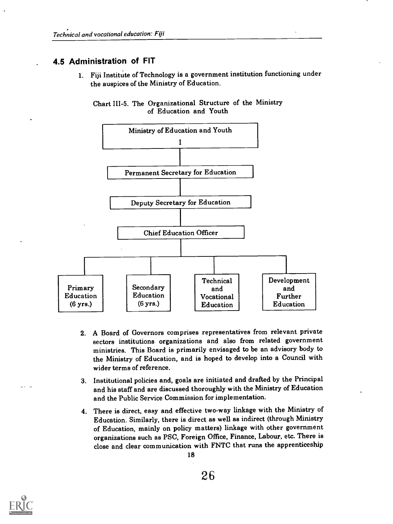# , 4.5 Administration of FIT

1. Fiji Institute of Technology is a government institution functioning under the auspices of the Ministry of Education.





- 2. A Board of Governors comprises representatives from relevant private sectors institutions organizations and also from related government ministries. This Board is primarily envisaged to be an advisory body to the Ministry of Education, and is hoped to develop into a Council with wider terms of reference.
- 3. Institutional policies and, goals are initiated and drafted by the Principal and his staff and are discussed thoroughly with the Ministry of Education and the Public Service Commission for implementation.
- 4. There is direct, easy and effective two-way linkage with the Ministry of Education. Similarly, there is direct as well as indirect (through Ministry of Education, mainly on policy matters) linkage with other government organizations such as PSC, Foreign Office, Finance, Labour, etc. There is close and clear communication with FNTC that runs the apprenticeship 18

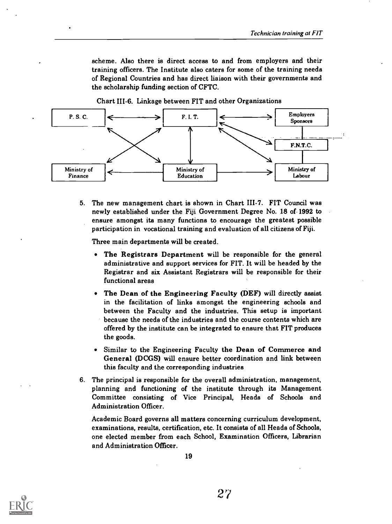scheme. Also there is direct access to and from employers and their training officers. The Institute also caters for some of the training needs of Regional Countries and has direct liaison with their governments and the scholarship funding section of CFTC.

Chart 111-6. Linkage between FIT and other Organizations



5. The new management chart is shown in Chart 111-7. FIT Council was newly established under the Fiji Government Degree No. 18 of-1992 to ensure amongst its many functions to encourage the greatest possible participation in vocational training and evaluation of all citizens of Fiji.

Three main departments will be created.

- The Registrars Department will be responsible for the general administrative and support services for FIT. It will be headed by the Registrar and six Assistant Registrars will be responsible for their functional areas
- The Dean of the Engineering Faculty (DEF) will directly assist in the facilitation of links amongst the engineering schools and between the Faculty and the industries. This setup is important because the needs of the industries and the course contents which are offered by the institute can be integrated to ensure that FIT produces the goods.
- Similar to the Engineering Faculty the Dean of Commerce and General (DCGS) will ensure better coordination and link between this faculty and the corresponding industries
- 6. The principal is responsible for the overall administration, management, planning and functioning of the institute through its Management Committee consisting of Vice Principal, Heads of Schools and Administration Officer.

Academic Board governs all matters concerning curriculum development, examinations, results, certification, etc. It consists of all Heads of Schools, one elected member from each School, Examination Officers, Librarian and Administration Officer.



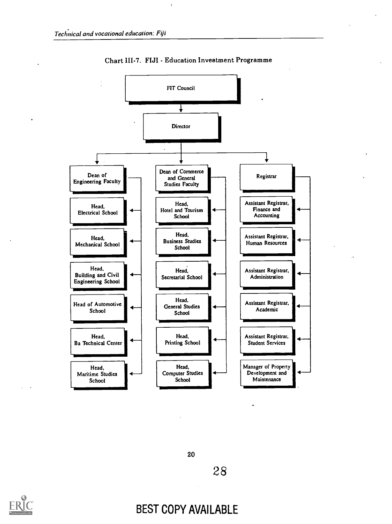

Chart III-7. FIJI - Education Investment Programme

20

28



# BEST COPY AVAILABLE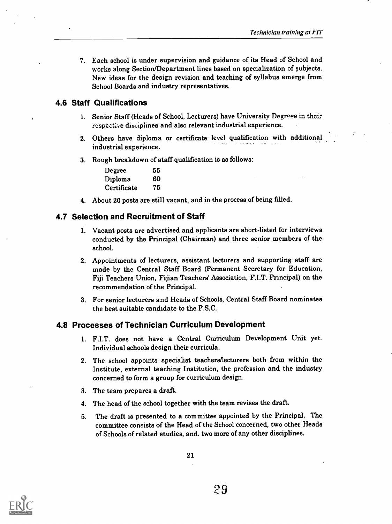7. Each school is under supervision and guidance of its Head of School and works along Section/Department lines based on specialization of subjects. New ideas for the design revision and teaching of syllabus emerge from School Boards and industry representatives.

## 4.6 Staff Qualifications

- 1. Senior Staff (Heads of School, Lecturers) have University Degrees in their respective disciplines and also relevant industrial experience.
- 2. Others have diploma or certificate level qualification with additional industrial experience.
- 3. Rough breakdown of staff qualification is as follows:

| Degree      | 55 |  |
|-------------|----|--|
| Diploma     | 60 |  |
| Certificate | 75 |  |

4. About 20 posts are still vacant, and in the process of being filled.

#### 4.7 Selection and Recruitment of Staff

- 1. Vacant posts are advertised and applicants are short-listed for interviews conducted by the Principal (Chairman) and three senior members of the school.
- 2. Appointments of lecturers, assistant lecturers and supporting staff are made by the Central Staff Board (Permanent Secretary for Education, Fiji Teachers Union, Fijian Teachers' Association, F.I.T. Principal) on the recommendation of the Principal.
- 3. For senior lecturers and Heads of Schools, Central Staff Board nominates the best suitable candidate to the P.S.C.

## 4.8 Processes of Technician Curriculum Development

- 1. F.I.T. does not have a Central Curriculum Development Unit yet. Individual schools design their curricula.
- 2. The school appoints specialist teachers/lecturers both from within the Institute, external teaching Institution, the profession and the industry concerned to form a group for curriculum design.
- 3. The team prepares a draft.
- 4. The head of the school together with the team revises the draft.
- 5. The draft is presented to a committee appointed by the Principal. The committee consists of the Head of the School concerned, two other Heads of Schools of related studies, and. two more of any other disciplines.

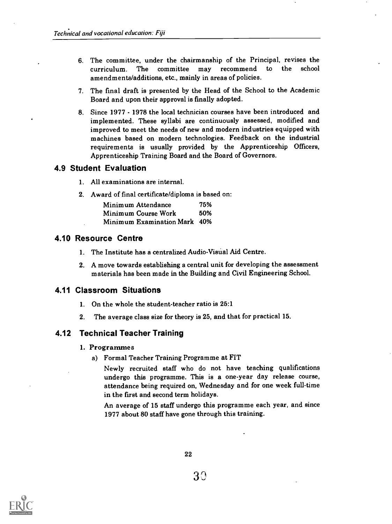- 6. The committee, under the chairmanship of the Principal, revises the curriculum. The committee may recommend to the school amendments/additions, etc., mainly in areas of policies.
- 7. The final draft is presented by the Head of the School to the Academic Board and upon their approval is finally adopted.
- 8. Since 1977 1978 the local technician courses have been introduced and implemented. These syllabi are continuously assessed, modified and improved to meet the needs of new and modern industries equipped with machines based on modern technologies. Feedback on the industrial requirements is usually provided by the Apprenticeship Officers, Apprenticeship Training Board and the Board of Governors.

#### 4.9 Student Evaluation

- 1. All examinations are internal.
- 2. Award of final certificate/diploma is based on:

| Minimum Attendance           | 75% |
|------------------------------|-----|
| Minimum Course Work          | 50% |
| Minimum Examination Mark 40% |     |

#### 4.10 Resource Centre

- 1. The Institute has a centralized Audio-Visual Aid Centre.
- 2. A move towards establishing a central unit for developing the assessment materials has been made in the Building and Civil Engineering School.

#### 4.11 Classroom Situations

- 1. On the whole the student-teacher ratio is 25:1
- 2. The average class size for theory is 25, and that for practical 15.

## 4.12 Technical Teacher Training

#### 1. Programmes

a) Formal Teacher Training Programme at FIT

Newly recruited staff who do not have teaching qualifications undergo this programme. This is a one-year day release course, attendance being required on, Wednesday and for one week full-time in the first and second term holidays.

An average of 15 staff undergo this programme each year, and since 1977 about 80 staff have gone through this training.

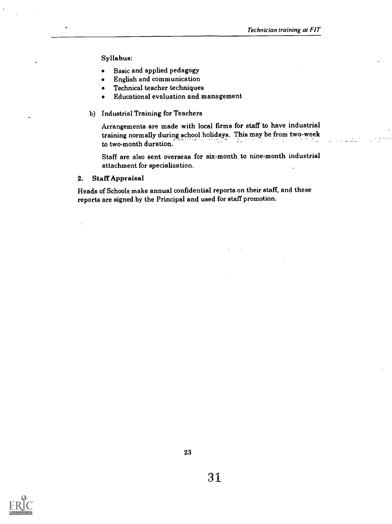Syllabus:

- Basic and applied pedagogy  $\bullet$
- English and communication  $\bullet$
- Technical teacher techniques  $\bullet$
- Educational evaluation and management  $\bullet$
- b) Industrial Training for Teachers

Arrangements are made with local firms for staff to have industrial training normally during school holidays. This may be from two-week to two-month duration.

Staff are also sent overseas for six-month to nine-month industrial attachment for specialization.

2. Staff Appraisal

Heads of Schools make annual confidential reports on their staff, and these reports are signed by the Principal and used for staff promotion.

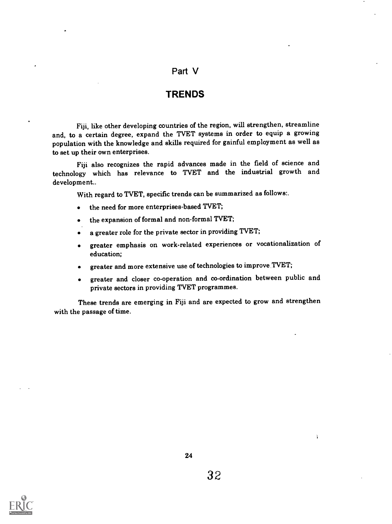## Part V

### **TRENDS**

Fiji, like other developing countries of the region, will strengthen, streamline and, to a certain degree, expand the TVET systems in order to equip a growing population with the knowledge and skills required for gainful employment as well as to set up their own enterprises.

Fiji also recognizes the rapid advances made in the field of science and technology which has relevance to TVET and the industrial growth and development..

With regard to TVET, specific trends can be summarized as follows:.

- the need for more enterprises-based TVET;  $\bullet$
- the expansion of formal and non-formal TVET;
- a greater role for the private sector in providing TVET;
- greater emphasis on work-related experiences or vocationalization of  $\bullet$ education;
- greater and more extensive use of technologies to improve TVET;
- greater and closer co-operation and co-ordination between public and  $\bullet$ private sectors in providing TVET programmes.

These trends are emerging in Fiji and are expected to grow and strengthen with the passage of time.



ï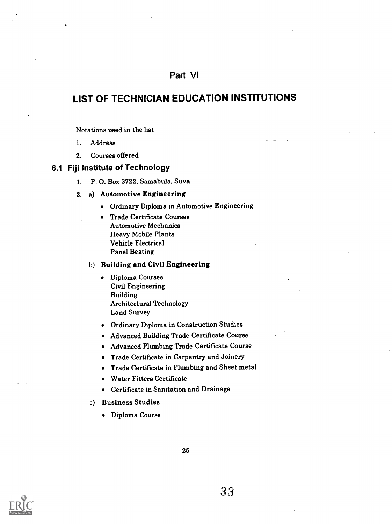# Part VI

# LIST OF TECHNICIAN EDUCATION INSTITUTIONS

Notations used in the list

- 1. Address
- 2. Courses offered

#### 6.1 Fiji Institute of Technology

- 1. P. 0. Box 3722, Samabula, Suva
- 2. a) Automotive Engineering
	- Ordinary Diploma in Automotive Engineering
	- Trade Certificate Courses  $\bullet$ Automotive Mechanics Heavy Mobile Plants Vehicle Electrical Panel Beating

#### b) Building and Civil Engineering

- Diploma Courses Civil Engineering Building Architectural Technology Land Survey
- Ordinary Diploma in Construction Studies
- Advanced Building Trade Certificate Course
- Advanced Plumbing Trade Certificate Course
- Trade Certificate in Carpentry and Joinery
- Trade Certificate in Plumbing and Sheet metal
- Water Fitters Certificate
- Certificate in Sanitation and Drainage
- c) Business Studies
	- Diploma Course

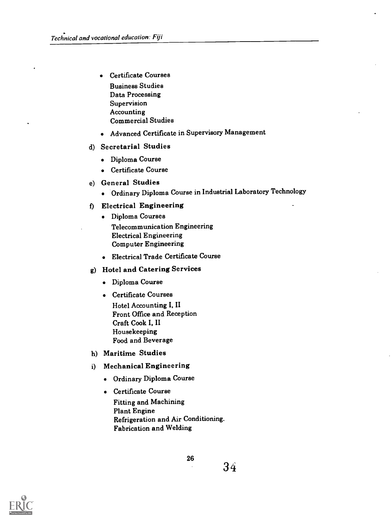- Certificate Courses Business Studies Data Processing Supervision Accounting Commercial Studies
- Advanced Certificate in Supervisory Management

#### d) Secretarial Studies

- Diploma Course
- Certificate Course
- e) General Studies
	- Ordinary Diploma Course in Industrial Laboratory Technology

#### f) Electrical Engineering

- Diploma Courses Telecommunication Engineering Electrical Engineering Computer Engineering
- Electrical Trade Certificate Course

# g) Hotel and Catering Services

- Diploma Course
- Certificate Courses Hotel Accounting I, II Front Office and Reception Craft Cook I, II Housekeeping Food and Beverage
- h) Maritime Studies
- i) Mechanical Engineering
	- Ordinary Diploma Course
	- Certificate Course
		- Fitting and Machining Plant Engine Refrigeration and Air Conditioning. Fabrication and Welding

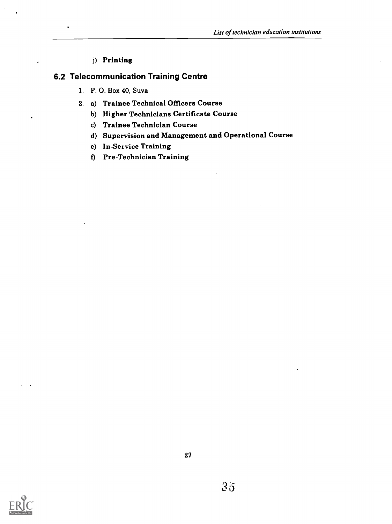#### j) Printing

## 6.2 Telecommunication Training Centre

- 1. P. 0. Box 40, Suva
- 2. a) Trainee Technical Officers Course
	- b) Higher Technicians Certificate Course
	- c) Trainee Technician Course
	- d) Supervision and Management and Operational Course
	- e) In-Service Training
	- 0 Pre-Technician Training

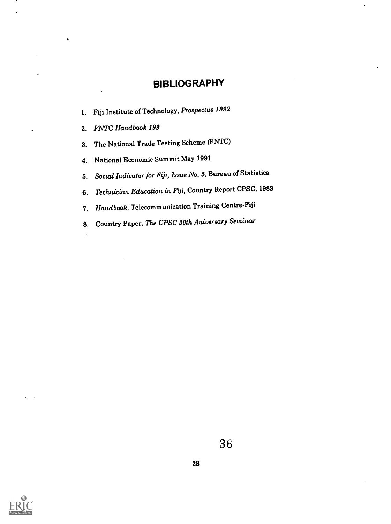# BIBLIOGRAPHY

- 1. Fiji Institute of Technology, Prospectus 1992
- 2. FNTC Handbook 199
- 3. The National Trade Testing Scheme (FNTC)
- 4. National Economic Summit May 1991
- 5. Social Indicator for Fiji, Issue No. 5, Bureau of Statistics
- 6. Technician Education in Fiji, Country Report CPSC, 1983
- 7. Handbook, Telecommunication Training Centre-Fiji
- 8. Country Paper, The CPSC 20th Aniversary Seminar